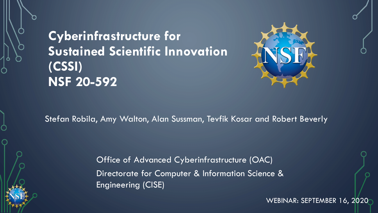# **Cyberinfrastructure for Sustained Scientific Innovation (CSSI) NSF 20-592**



Stefan Robila, Amy Walton, Alan Sussman, Tevfik Kosar and Robert Beverly

Office of Advanced Cyberinfrastructure (OAC) Directorate for Computer & Information Science & Engineering (CISE)

WEBINAR: SEPTEMBER 16, 2020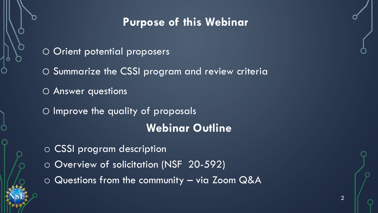# **Purpose of this Webinar**

- O Orient potential proposers
- o Summarize the CSSI program and review criteria
- o Answer questions
- O Improve the quality of proposals **Webinar Outline**
- o CSSI program description
- o Overview of solicitation (NSF 20-592)
- o Questions from the community via Zoom Q&A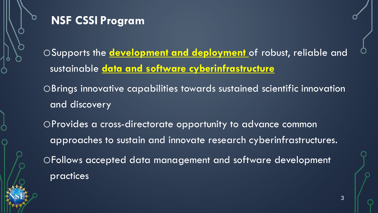### **NSF CSSI Program**

oSupports the **development and deployment** of robust, reliable and sustainable **data and software cyberinfrastructure**

oBrings innovative capabilities towards sustained scientific innovation and discovery

oProvides a cross-directorate opportunity to advance common approaches to sustain and innovate research cyberinfrastructures. oFollows accepted data management and software development practices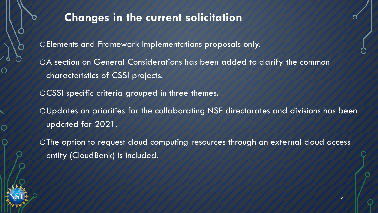# **Changes in the current solicitation**

oElements and Framework Implementations proposals only.

oA section on General Considerations has been added to clarify the common characteristics of CSSI projects.

oCSSI specific criteria grouped in three themes.

oUpdates on priorities for the collaborating NSF directorates and divisions has been updated for 2021.

oThe option to request cloud computing resources through an external cloud access entity (CloudBank) is included.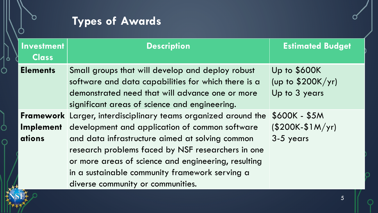# **Types of Awards**

M.

Ø,

**ID'I** 

| <b>Investment</b><br><b>Class</b> | <b>Description</b>                                                                                                                                                                                                                                                                                                                                                            | <b>Estimated Budget</b>                              |
|-----------------------------------|-------------------------------------------------------------------------------------------------------------------------------------------------------------------------------------------------------------------------------------------------------------------------------------------------------------------------------------------------------------------------------|------------------------------------------------------|
| <b>Elements</b>                   | Small groups that will develop and deploy robust<br>software and data capabilities for which there is a<br>demonstrated need that will advance one or more<br>significant areas of science and engineering.                                                                                                                                                                   | Up to \$600K<br>(up to $$200K/yr$ )<br>Up to 3 years |
| <b>Implement</b><br>ations        | <b>Framework</b> Larger, interdisciplinary teams organized around the<br>development and application of common software<br>and data infrastructure aimed at solving common<br>research problems faced by NSF researchers in one<br>or more areas of science and engineering, resulting<br>in a sustainable community framework serving a<br>diverse community or communities. | \$600K - \$5M<br>$(S200K-S1M/yr)$<br>3-5 years       |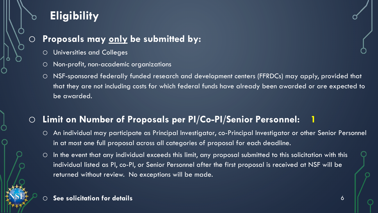# **Eligibility**

### o **Proposals may only be submitted by:**

- o Universities and Colleges
- o Non-profit, non-academic organizations
- o NSF-sponsored federally funded research and development centers (FFRDCs) may apply, provided that that they are not including costs for which federal funds have already been awarded or are expected to be awarded.

### o **Limit on Number of Proposals per PI/Co-PI/Senior Personnel: 1**

- o An individual may participate as Principal Investigator, co-Principal Investigator or other Senior Personnel in at most one full proposal across all categories of proposal for each deadline.
- o In the event that any individual exceeds this limit, any proposal submitted to this solicitation with this individual listed as PI, co-PI, or Senior Personnel after the first proposal is received at NSF will be returned without review. No exceptions will be made.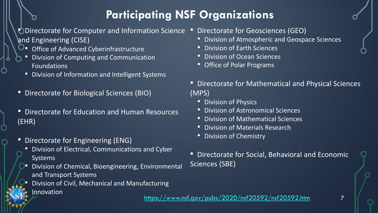# **Participating NSF Organizations**

#### • Directorate for Computer and Information Science • and Engineering (CISE)

- O. Office of Advanced Cyberinfrastructure
	- Division of Computing and Communication Foundations
	- Division of Information and Intelligent Systems
- Directorate for Biological Sciences (BIO)
- Directorate for Education and Human Resources (EHR)
- Directorate for Engineering (ENG)
	- Division of Electrical, Communications and Cyber Systems
	- Division of Chemical, Bioengineering, Environmental and Transport Systems
	- Division of Civil, Mechanical and Manufacturing **Innovation**
- Directorate for Geosciences (GEO)
	- Division of Atmospheric and Geospace Sciences
	- Division of Earth Sciences
- Division of Ocean Sciences
- Office of Polar Programs
- Directorate for Mathematical and Physical Sciences (MPS)
	- Division of Physics
	- Division of Astronomical Sciences
	- Division of Mathematical Sciences
	- Division of Materials Research
	- Division of Chemistry
- Directorate for Social, Behavioral and Economic Sciences (SBE)

<https://www.nsf.gov/pubs/2020/nsf20592/nsf20592.htm>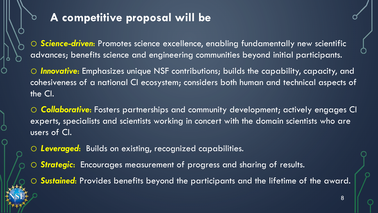# **A competitive proposal will be**

o *Science-driven*: Promotes science excellence, enabling fundamentally new scientific advances; benefits science and engineering communities beyond initial participants.

o *Innovative*: Emphasizes unique NSF contributions; builds the capability, capacity, and cohesiveness of a national CI ecosystem; considers both human and technical aspects of the CI.

o *Collaborative*: Fosters partnerships and community development; actively engages CI experts, specialists and scientists working in concert with the domain scientists who are users of CI.

o *Leveraged*: Builds on existing, recognized capabilities.

o *Strategic*: Encourages measurement of progress and sharing of results.

o *Sustained*: Provides benefits beyond the participants and the lifetime of the award.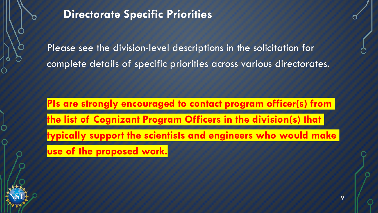

# **Directorate Specific Priorities**

Please see the division-level descriptions in the solicitation for complete details of specific priorities across various directorates.

**PIs are strongly encouraged to contact program officer(s) from the list of Cognizant Program Officers in the division(s) that typically support the scientists and engineers who would make use of the proposed work.**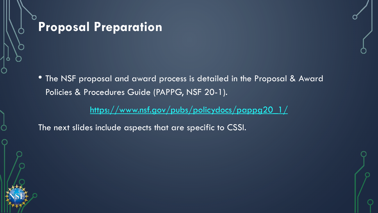

• The NSF proposal and award process is detailed in the Proposal & Award Policies & Procedures Guide (PAPPG, NSF 20-1).

[https://www.nsf.gov/pubs/policydocs/pappg20\\_1/](https://www.nsf.gov/pubs/policydocs/pappg20_1/)

The next slides include aspects that are specific to CSSI.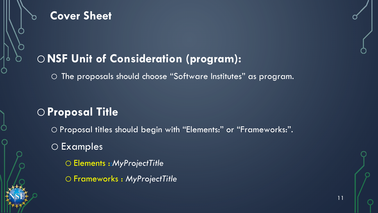

### **Cover Sheet**

# o**NSF Unit of Consideration (program):**

o The proposals should choose "Software Institutes" as program.

## o**Proposal Title**

o Proposal titles should begin with "Elements:" or "Frameworks:". o Examples o Elements ::*MyProjectTitle* o Frameworks : *MyProjectTitle*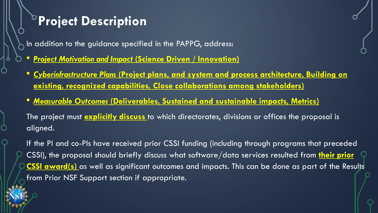# **Project Description**

In addition to the guidance specified in the PAPPG, address:

- *Project Motivation and Impact* **(Science Driven / Innovation)**
- *Cyberinfrastructure Plans* **(Project plans, and system and process architecture, Building on existing, recognized capabilities, Close collaborations among stakeholders)**
- *Measurable Outcomes* **(Deliverables, Sustained and sustainable impacts, Metrics)**

The project must **explicitly discuss** to which directorates, divisions or offices the proposal is aligned.

If the PI and co-PIs have received prior CSSI funding (including through programs that preceded CSSI), the proposal should briefly discuss what software/data services resulted from **their prior CSSI award(s)** as well as significant outcomes and impacts. This can be done as part of the Results from Prior NSF Support section if appropriate.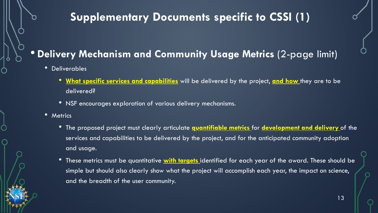# **Supplementary Documents specific to CSSI (1)**

### • **Delivery Mechanism and Community Usage Metrics** (2-page limit)

- Deliverables
	- **What specific services and capabilities** will be delivered by the project, **and how** they are to be delivered?
	- NSF encourages exploration of various delivery mechanisms.
- Metrics
	- The proposed project must clearly articulate **quantifiable metrics** for **development and delivery** of the services and capabilities to be delivered by the project, and for the anticipated community adoption and usage.
	- These metrics must be quantitative **with targets** identified for each year of the award. These should be simple but should also clearly show what the project will accomplish each year, the impact on science, and the breadth of the user community.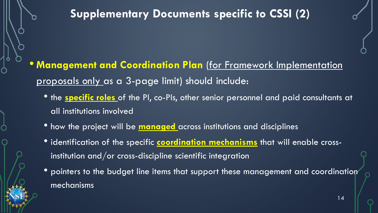# **Supplementary Documents specific to CSSI (2)**

- **Management and Coordination Plan** (for Framework Implementation proposals only as a 3-page limit) should include:
	- the **specific roles** of the PI, co-PIs, other senior personnel and paid consultants at all institutions involved
	- how the project will be **managed** across institutions and disciplines
	- identification of the specific **coordination mechanisms** that will enable crossinstitution and/or cross-discipline scientific integration
	- pointers to the budget line items that support these management and coordination mechanisms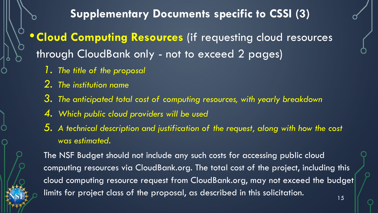**Supplementary Documents specific to CSSI (3)**

•**Cloud Computing Resources** (if requesting cloud resources through CloudBank only - not to exceed 2 pages)

- *1. The title of the proposal*
- *2. The institution name*
- *3. The anticipated total cost of computing resources, with yearly breakdown*
- *4. Which public cloud providers will be used*
- *5. A technical description and justification of the request, along with how the cost was estimated.*

The NSF Budget should not include any such costs for accessing public cloud computing resources via CloudBank.org. The total cost of the project, including this cloud computing resource request from CloudBank.org, may not exceed the budget limits for project class of the proposal, as described in this solicitation.  $\frac{15}{15}$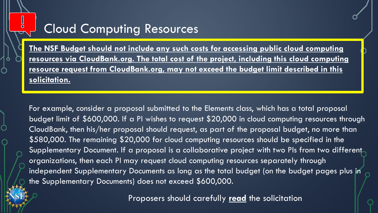# Cloud Computing Resources

**The NSF Budget should not include any such costs for accessing public cloud computing resources via CloudBank.org. The total cost of the project, including this cloud computing resource request from CloudBank.org, may not exceed the budget limit described in this solicitation.**

For example, consider a proposal submitted to the Elements class, which has a total proposal budget limit of \$600,000. If a PI wishes to request \$20,000 in cloud computing resources through CloudBank, then his/her proposal should request, as part of the proposal budget, no more than \$580,000. The remaining \$20,000 for cloud computing resources should be specified in the Supplementary Document. If a proposal is a collaborative project with two PIs from two different organizations, then each PI may request cloud computing resources separately through independent Supplementary Documents as long as the total budget (on the budget pages plus in the Supplementary Documents) does not exceed \$600,000.

Proposers should carefully **read** the solicitation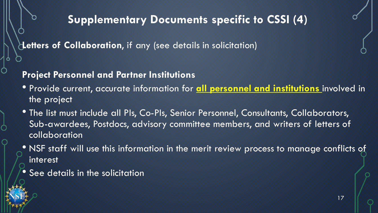# **Supplementary Documents specific to CSSI (4)**

**Letters of Collaboration**, if any (see details in solicitation)

### **Project Personnel and Partner Institutions**

- Provide current, accurate information for **all personnel and institutions** involved in the project
- The list must include all PIs, Co-PIs, Senior Personnel, Consultants, Collaborators, Sub-awardees, Postdocs, advisory committee members, and writers of letters of collaboration
- NSF staff will use this information in the merit review process to manage conflicts of interest
- See details in the solicitation

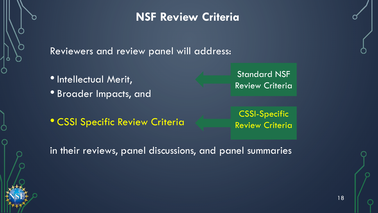## **NSF Review Criteria**

Reviewers and review panel will address:

- **Intellectual Merit,**
- Broader Impacts, and

Standard NSF Review Criteria

• CSSI Specific Review Criteria

CSSI-Specific Review Criteria

in their reviews, panel discussions, and panel summaries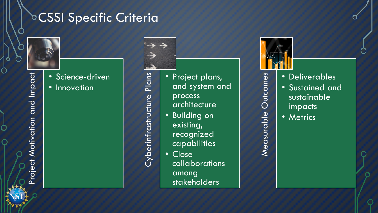# **DCSSI Specific Criteria**



Project Motivation and Impact

roject Motivation and Impact

▓

• Science-driven • Innovation

Plans Cyberinfrastructure Plans Cyberinfrastructure



- Project plans, and system and
	- process architecture
- Building on existing, recognized
	- capabilities
- Close collaborations among stakeholders



Measurable Outcomes

Measurable Outcomes

- Deliverables
- Sustained and sustainable impacts
- Metrics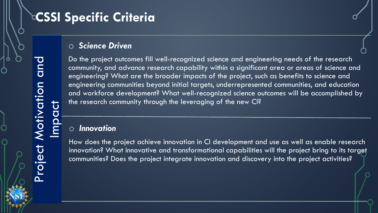# **CSSI Specific Criteria**

#### o *Science Driven*

Do the project outcomes fill well-recognized science and engineering needs of the research community, and advance research capability within a significant area or areas of science and engineering? What are the broader impacts of the project, such as benefits to science and engineering communities beyond initial targets, underrepresented communities, and education and workforce development? What well-recognized science outcomes will be accomplished by the research community through the leveraging of the new CI?

#### o *Innovation*

How does the project achieve innovation in CI development and use as well as enable research innovation? What innovative and transformational capabilities will the project bring to its target communities? Does the project integrate innovation and discovery into the project activities?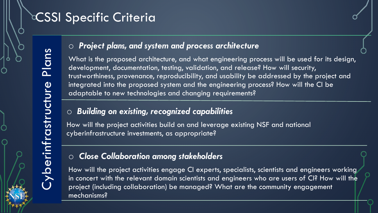# **CSSI Specific Criteria**

#### o *Project plans, and system and process architecture*

What is the proposed architecture, and what engineering process will be used for its design, development, documentation, testing, validation, and release? How will security, trustworthiness, provenance, reproducibility, and usability be addressed by the project and integrated into the proposed system and the engineering process? How will the CI be adaptable to new technologies and changing requirements?

#### o *Building on existing, recognized capabilities*

How will the project activities build on and leverage existing NSF and national cyberinfrastructure investments, as appropriate?

#### o *Close Collaboration among stakeholders*

How will the project activities engage CI experts, specialists, scientists and engineers working in concert with the relevant domain scientists and engineers who are users of CI? How will the project (including collaboration) be managed? What are the community engagement mechanisms?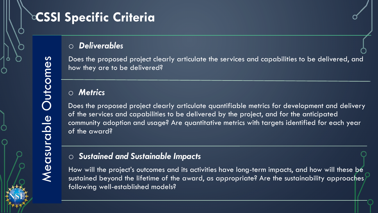# **CSSI Specific Criteria**

#### o *Deliverables*

Does the proposed project clearly articulate the services and capabilities to be delivered, and how they are to be delivered?

#### o *Metrics*

Does the proposed project clearly articulate quantifiable metrics for development and delivery of the services and capabilities to be delivered by the project, and for the anticipated community adoption and usage? Are quantitative metrics with targets identified for each year of the award?

#### o *Sustained and Sustainable Impacts*

How will the project's outcomes and its activities have long-term impacts, and how will these be sustained beyond the lifetime of the award, as appropriate? Are the sustainability approaches following well-established models?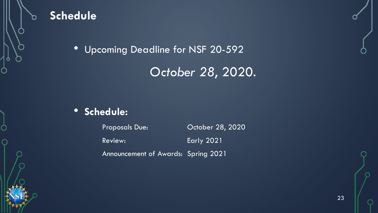

### **Schedule**

• Upcoming Deadline for NSF 20-592

# *October 28*, 2020.

### • **Schedule:**

Proposals Due: Corober 28, 2020 Review: Early 2021

Announcement of Awards: Spring 2021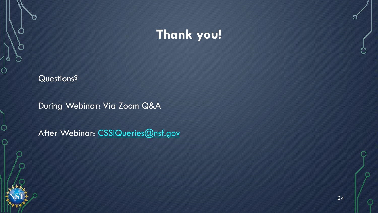# **Thank you!**

#### Questions?

During Webinar: Via Zoom Q&A

After Webinar: [CSSIQueries@nsf.gov](mailto:CSSIQueries@nsf.gov)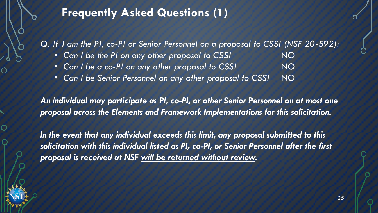## **Frequently Asked Questions (1)**

*Q: If I am the PI, co-PI or Senior Personnel on a proposal to CSSI (NSF 20-592):*

- *Can I be the PI on any other proposal to CSSI* NO
- *Can I be a co-PI on any other proposal to CSSI* NO
- *Can I be Senior Personnel on any other proposal to CSSI* NO

*An individual may participate as PI, co-PI, or other Senior Personnel on at most one proposal across the Elements and Framework Implementations for this solicitation.*

*In the event that any individual exceeds this limit, any proposal submitted to this solicitation with this individual listed as PI, co-PI, or Senior Personnel after the first proposal is received at NSF will be returned without review.*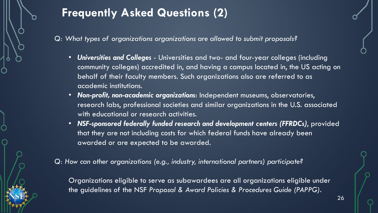

# **Frequently Asked Questions (2)**

*Q: What types of organizations organizations are allowed to submit proposals?*

- *Universities and Colleges*  Universities and two- and four-year colleges (including community colleges) accredited in, and having a campus located in, the US acting on behalf of their faculty members. Such organizations also are referred to as academic institutions.
- *Non-profit, non-academic organizations*: Independent museums, observatories, research labs, professional societies and similar organizations in the U.S. associated with educational or research activities.
- *NSF-sponsored federally funded research and development centers (FFRDCs)*, provided that they are not including costs for which federal funds have already been awarded or are expected to be awarded.

*Q: How can other organizations (e.g., industry, international partners) participate?*

Organizations eligible to serve as subawardees are all organizations eligible under the guidelines of the NSF *Proposal & Award Policies & Procedures Guide (PAPPG)*.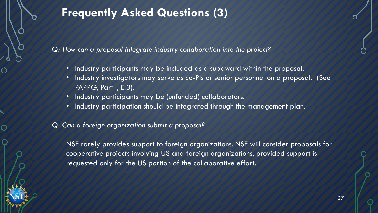

# **Frequently Asked Questions (3)**

*Q: How can a proposal integrate industry collaboration into the project?*

- Industry participants may be included as a subaward within the proposal.
- Industry investigators may serve as co-PIs or senior personnel on a proposal. (See PAPPG, Part I, E.3).
- Industry participants may be (unfunded) collaborators.
- Industry participation should be integrated through the management plan.

#### *Q: Can a foreign organization submit a proposal?*

NSF rarely provides support to foreign organizations. NSF will consider proposals for cooperative projects involving US and foreign organizations, provided support is requested only for the US portion of the collaborative effort.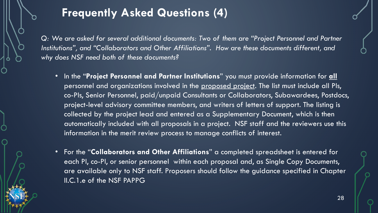# **Frequently Asked Questions (4)**

Q: We are asked for several additional documents: Two of them are "Project Personnel and Partner *Institutions", and "Collaborators and Other Affiliations". How are these documents different, and why does NSF need both of these documents?*

- In the "**Project Personnel and Partner Institutions**" you must provide information for **all** personnel and organizations involved in the proposed project. The list must include all PIs, co-PIs, Senior Personnel, paid/unpaid Consultants or Collaborators, Subawardees, Postdocs, project-level advisory committee members, and writers of letters of support. The listing is collected by the project lead and entered as a Supplementary Document, which is then automatically included with all proposals in a project. NSF staff and the reviewers use this information in the merit review process to manage conflicts of interest.
- For the "**Collaborators and Other Affiliations**" a completed spreadsheet is entered for each PI, co-PI, or senior personnel within each proposal and, as Single Copy Documents, are available only to NSF staff. Proposers should follow the guidance specified in Chapter II.C.1.e of the NSF PAPPG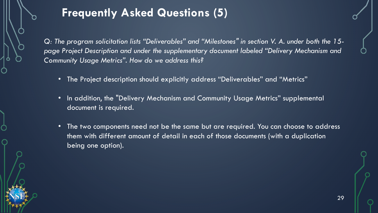# **Frequently Asked Questions (5)**

*Q: The program solicitation lists "Deliverables" and "Milestones" in section V. A. under both the 15 page Project Description and under the supplementary document labeled "Delivery Mechanism and Community Usage Metrics". How do we address this?*

- The Project description should explicitly address "Deliverables" and "Metrics"
- In addition, the "Delivery Mechanism and Community Usage Metrics" supplemental document is required.
- The two components need not be the same but are required. You can choose to address them with different amount of detail in each of those documents (with a duplication being one option).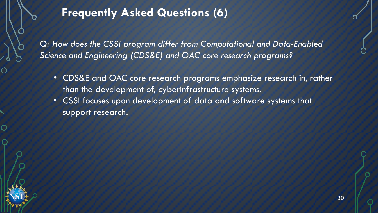# **Frequently Asked Questions (6)**

*Q: How does the CSSI program differ from Computational and Data-Enabled Science and Engineering (CDS&E) and OAC core research programs?*

- CDS&E and OAC core research programs emphasize research in, rather than the development of, cyberinfrastructure systems.
- CSSI focuses upon development of data and software systems that support research.